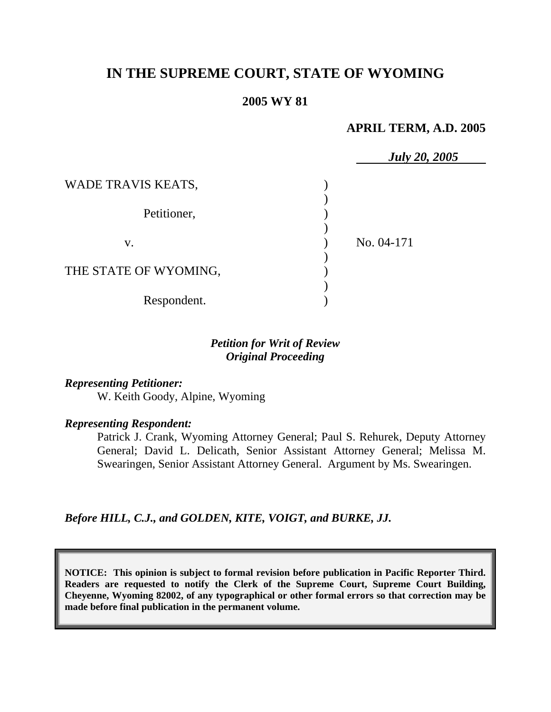# **IN THE SUPREME COURT, STATE OF WYOMING**

# **2005 WY 81**

### **APRIL TERM, A.D. 2005**

|                       | <b>July 20, 2005</b> |  |
|-----------------------|----------------------|--|
| WADE TRAVIS KEATS,    |                      |  |
| Petitioner,           |                      |  |
| V.                    | No. 04-171           |  |
| THE STATE OF WYOMING, |                      |  |
| Respondent.           |                      |  |

# *Petition for Writ of Review Original Proceeding*

*Representing Petitioner:* W. Keith Goody, Alpine, Wyoming

*Representing Respondent:*

Patrick J. Crank, Wyoming Attorney General; Paul S. Rehurek, Deputy Attorney General; David L. Delicath, Senior Assistant Attorney General; Melissa M. Swearingen, Senior Assistant Attorney General. Argument by Ms. Swearingen.

*Before HILL, C.J., and GOLDEN, KITE, VOIGT, and BURKE, JJ.* 

**NOTICE: This opinion is subject to formal revision before publication in Pacific Reporter Third. Readers are requested to notify the Clerk of the Supreme Court, Supreme Court Building, Cheyenne, Wyoming 82002, of any typographical or other formal errors so that correction may be made before final publication in the permanent volume.**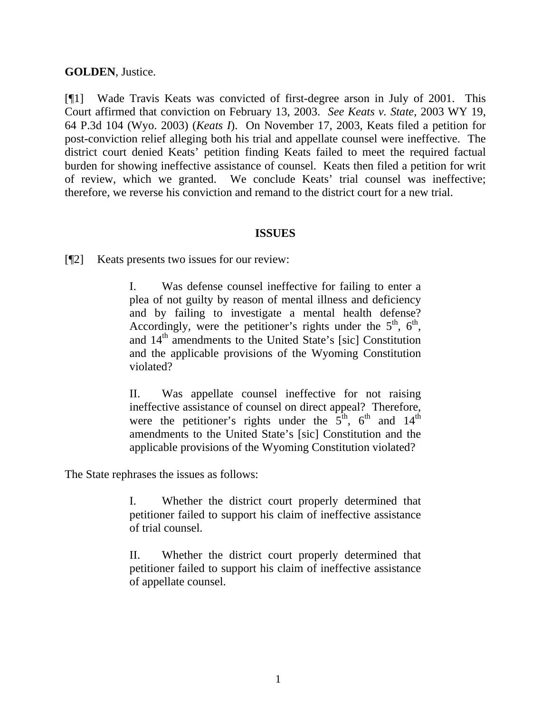# **GOLDEN**, Justice.

[¶1] Wade Travis Keats was convicted of first-degree arson in July of 2001. This Court affirmed that conviction on February 13, 2003. *See Keats v. State*, 2003 WY 19, 64 P.3d 104 (Wyo. 2003) (*Keats I*). On November 17, 2003, Keats filed a petition for post-conviction relief alleging both his trial and appellate counsel were ineffective. The district court denied Keats' petition finding Keats failed to meet the required factual burden for showing ineffective assistance of counsel. Keats then filed a petition for writ of review, which we granted. We conclude Keats' trial counsel was ineffective; therefore, we reverse his conviction and remand to the district court for a new trial.

## **ISSUES**

[¶2] Keats presents two issues for our review:

I. Was defense counsel ineffective for failing to enter a plea of not guilty by reason of mental illness and deficiency and by failing to investigate a mental health defense? Accordingly, were the petitioner's rights under the  $5<sup>th</sup>$ ,  $6<sup>th</sup>$ , and  $14<sup>th</sup>$  amendments to the United State's [sic] Constitution and the applicable provisions of the Wyoming Constitution violated?

II. Was appellate counsel ineffective for not raising ineffective assistance of counsel on direct appeal? Therefore, were the petitioner's rights under the  $5<sup>th</sup>$ ,  $6<sup>th</sup>$  and  $14<sup>th</sup>$ amendments to the United State's [sic] Constitution and the applicable provisions of the Wyoming Constitution violated?

The State rephrases the issues as follows:

I. Whether the district court properly determined that petitioner failed to support his claim of ineffective assistance of trial counsel.

II. Whether the district court properly determined that petitioner failed to support his claim of ineffective assistance of appellate counsel.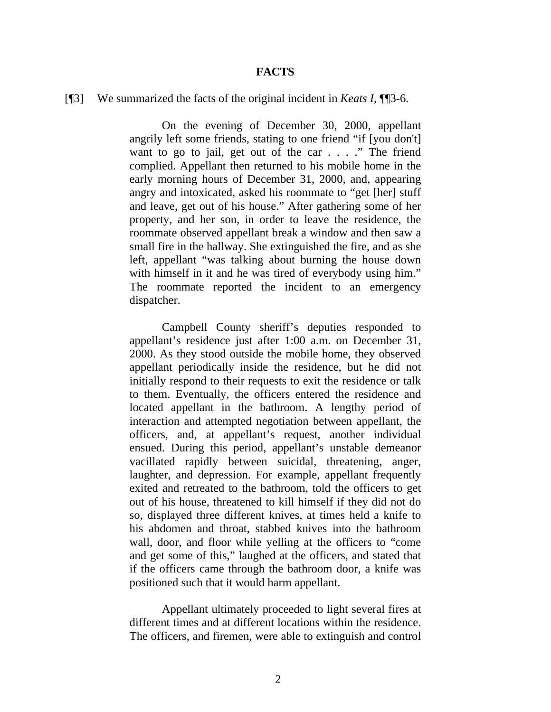#### **FACTS**

### [¶3] We summarized the facts of the original incident in *Keats I*, ¶¶3-6.

On the evening of December 30, 2000, appellant angrily left some friends, stating to one friend "if [you don't] want to go to jail, get out of the car . . . ." The friend complied. Appellant then returned to his mobile home in the early morning hours of December 31, 2000, and, appearing angry and intoxicated, asked his roommate to "get [her] stuff and leave, get out of his house." After gathering some of her property, and her son, in order to leave the residence, the roommate observed appellant break a window and then saw a small fire in the hallway. She extinguished the fire, and as she left, appellant "was talking about burning the house down with himself in it and he was tired of everybody using him." The roommate reported the incident to an emergency dispatcher.

Campbell County sheriff's deputies responded to appellant's residence just after 1:00 a.m. on December 31, 2000. As they stood outside the mobile home, they observed appellant periodically inside the residence, but he did not initially respond to their requests to exit the residence or talk to them. Eventually, the officers entered the residence and located appellant in the bathroom. A lengthy period of interaction and attempted negotiation between appellant, the officers, and, at appellant's request, another individual ensued. During this period, appellant's unstable demeanor vacillated rapidly between suicidal, threatening, anger, laughter, and depression. For example, appellant frequently exited and retreated to the bathroom, told the officers to get out of his house, threatened to kill himself if they did not do so, displayed three different knives, at times held a knife to his abdomen and throat, stabbed knives into the bathroom wall, door, and floor while yelling at the officers to "come and get some of this," laughed at the officers, and stated that if the officers came through the bathroom door, a knife was positioned such that it would harm appellant.

Appellant ultimately proceeded to light several fires at different times and at different locations within the residence. The officers, and firemen, were able to extinguish and control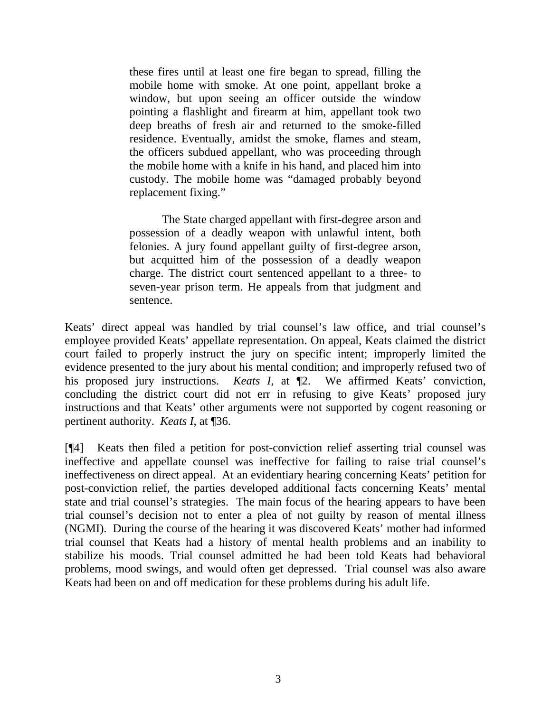these fires until at least one fire began to spread, filling the mobile home with smoke. At one point, appellant broke a window, but upon seeing an officer outside the window pointing a flashlight and firearm at him, appellant took two deep breaths of fresh air and returned to the smoke-filled residence. Eventually, amidst the smoke, flames and steam, the officers subdued appellant, who was proceeding through the mobile home with a knife in his hand, and placed him into custody. The mobile home was "damaged probably beyond replacement fixing."

The State charged appellant with first-degree arson and possession of a deadly weapon with unlawful intent, both felonies. A jury found appellant guilty of first-degree arson, but acquitted him of the possession of a deadly weapon charge. The district court sentenced appellant to a three- to seven-year prison term. He appeals from that judgment and sentence.

Keats' direct appeal was handled by trial counsel's law office, and trial counsel's employee provided Keats' appellate representation. On appeal, Keats claimed the district court failed to properly instruct the jury on specific intent; improperly limited the evidence presented to the jury about his mental condition; and improperly refused two of his proposed jury instructions. *Keats I*, at ¶2. We affirmed Keats' conviction, concluding the district court did not err in refusing to give Keats' proposed jury instructions and that Keats' other arguments were not supported by cogent reasoning or pertinent authority. *Keats I*, at ¶36.

[¶4] Keats then filed a petition for post-conviction relief asserting trial counsel was ineffective and appellate counsel was ineffective for failing to raise trial counsel's ineffectiveness on direct appeal. At an evidentiary hearing concerning Keats' petition for post-conviction relief, the parties developed additional facts concerning Keats' mental state and trial counsel's strategies. The main focus of the hearing appears to have been trial counsel's decision not to enter a plea of not guilty by reason of mental illness (NGMI). During the course of the hearing it was discovered Keats' mother had informed trial counsel that Keats had a history of mental health problems and an inability to stabilize his moods. Trial counsel admitted he had been told Keats had behavioral problems, mood swings, and would often get depressed. Trial counsel was also aware Keats had been on and off medication for these problems during his adult life.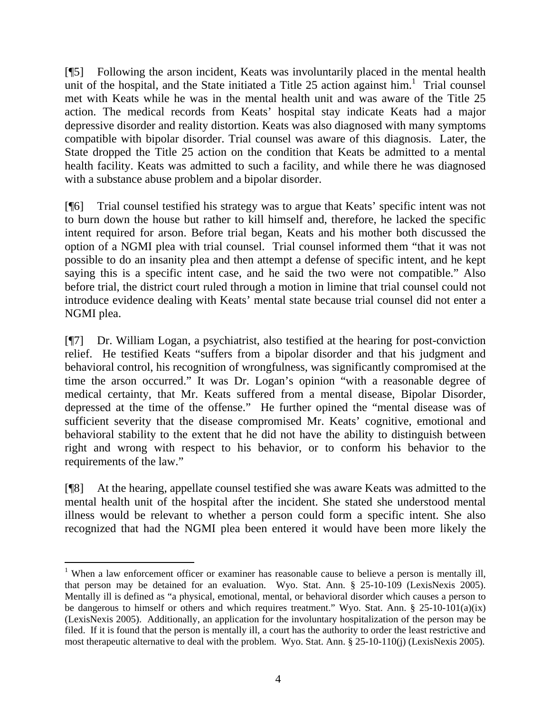[¶5] Following the arson incident, Keats was involuntarily placed in the mental health unit of the hospital, and the State initiated a Title 25 action against him.<sup>1</sup> Trial counsel met with Keats while he was in the mental health unit and was aware of the Title 25 action. The medical records from Keats' hospital stay indicate Keats had a major depressive disorder and reality distortion. Keats was also diagnosed with many symptoms compatible with bipolar disorder. Trial counsel was aware of this diagnosis. Later, the State dropped the Title 25 action on the condition that Keats be admitted to a mental health facility. Keats was admitted to such a facility, and while there he was diagnosed with a substance abuse problem and a bipolar disorder.

[¶6] Trial counsel testified his strategy was to argue that Keats' specific intent was not to burn down the house but rather to kill himself and, therefore, he lacked the specific intent required for arson. Before trial began, Keats and his mother both discussed the option of a NGMI plea with trial counsel. Trial counsel informed them "that it was not possible to do an insanity plea and then attempt a defense of specific intent, and he kept saying this is a specific intent case, and he said the two were not compatible." Also before trial, the district court ruled through a motion in limine that trial counsel could not introduce evidence dealing with Keats' mental state because trial counsel did not enter a NGMI plea.

[¶7] Dr. William Logan, a psychiatrist, also testified at the hearing for post-conviction relief. He testified Keats "suffers from a bipolar disorder and that his judgment and behavioral control, his recognition of wrongfulness, was significantly compromised at the time the arson occurred." It was Dr. Logan's opinion "with a reasonable degree of medical certainty, that Mr. Keats suffered from a mental disease, Bipolar Disorder, depressed at the time of the offense." He further opined the "mental disease was of sufficient severity that the disease compromised Mr. Keats' cognitive, emotional and behavioral stability to the extent that he did not have the ability to distinguish between right and wrong with respect to his behavior, or to conform his behavior to the requirements of the law."

[¶8] At the hearing, appellate counsel testified she was aware Keats was admitted to the mental health unit of the hospital after the incident. She stated she understood mental illness would be relevant to whether a person could form a specific intent. She also recognized that had the NGMI plea been entered it would have been more likely the

<sup>&</sup>lt;sup>1</sup> When a law enforcement officer or examiner has reasonable cause to believe a person is mentally ill, that person may be detained for an evaluation. Wyo. Stat. Ann. § 25-10-109 (LexisNexis 2005). Mentally ill is defined as "a physical, emotional, mental, or behavioral disorder which causes a person to be dangerous to himself or others and which requires treatment." Wyo. Stat. Ann. § 25-10-101(a)(ix) (LexisNexis 2005). Additionally, an application for the involuntary hospitalization of the person may be filed. If it is found that the person is mentally ill, a court has the authority to order the least restrictive and most therapeutic alternative to deal with the problem. Wyo. Stat. Ann. § 25-10-110(j) (LexisNexis 2005).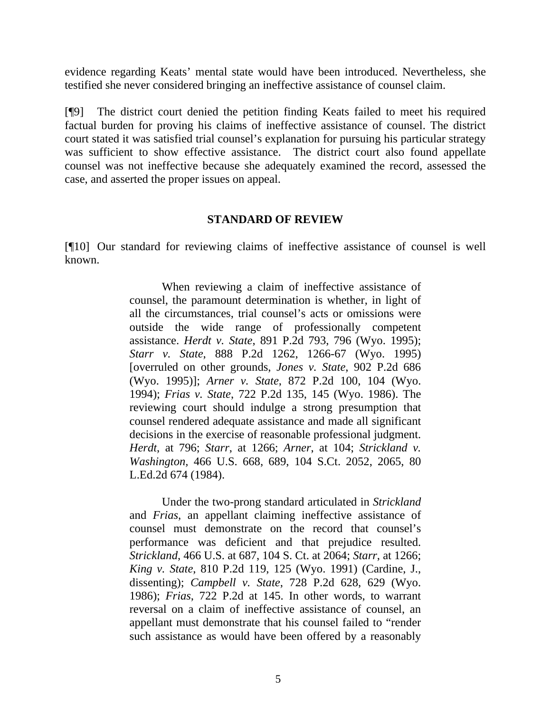evidence regarding Keats' mental state would have been introduced. Nevertheless, she testified she never considered bringing an ineffective assistance of counsel claim.

[¶9] The district court denied the petition finding Keats failed to meet his required factual burden for proving his claims of ineffective assistance of counsel. The district court stated it was satisfied trial counsel's explanation for pursuing his particular strategy was sufficient to show effective assistance. The district court also found appellate counsel was not ineffective because she adequately examined the record, assessed the case, and asserted the proper issues on appeal.

### **STANDARD OF REVIEW**

[¶10] Our standard for reviewing claims of ineffective assistance of counsel is well known.

> When reviewing a claim of ineffective assistance of counsel, the paramount determination is whether, in light of all the circumstances, trial counsel's acts or omissions were outside the wide range of professionally competent assistance. *Herdt v. State*, 891 P.2d 793, 796 (Wyo. 1995); *Starr v. State*, 888 P.2d 1262, 1266-67 (Wyo. 1995) [overruled on other grounds, *Jones v. State*, 902 P.2d 686 (Wyo. 1995)]; *Arner v. State*, 872 P.2d 100, 104 (Wyo. 1994); *Frias v. State*, 722 P.2d 135, 145 (Wyo. 1986). The reviewing court should indulge a strong presumption that counsel rendered adequate assistance and made all significant decisions in the exercise of reasonable professional judgment. *Herdt*, at 796; *Starr*, at 1266; *Arner*, at 104; *Strickland v. Washington,* 466 U.S. 668, 689, 104 S.Ct. 2052, 2065, 80 L.Ed.2d 674 (1984).

> Under the two-prong standard articulated in *Strickland* and *Frias*, an appellant claiming ineffective assistance of counsel must demonstrate on the record that counsel's performance was deficient and that prejudice resulted. *Strickland*, 466 U.S. at 687, 104 S. Ct. at 2064; *Starr*, at 1266; *King v. State*, 810 P.2d 119, 125 (Wyo. 1991) (Cardine, J., dissenting); *Campbell v. State*, 728 P.2d 628, 629 (Wyo. 1986); *Frias*, 722 P.2d at 145. In other words, to warrant reversal on a claim of ineffective assistance of counsel, an appellant must demonstrate that his counsel failed to "render such assistance as would have been offered by a reasonably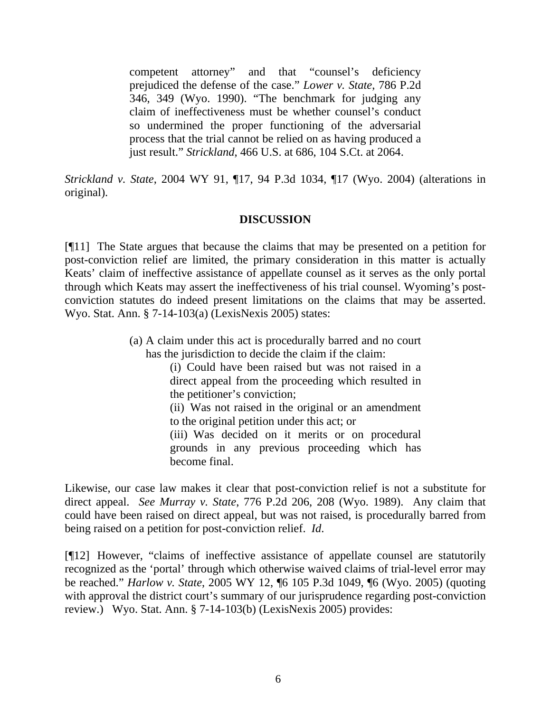competent attorney" and that "counsel's deficiency prejudiced the defense of the case." *Lower v. State*, 786 P.2d 346, 349 (Wyo. 1990). "The benchmark for judging any claim of ineffectiveness must be whether counsel's conduct so undermined the proper functioning of the adversarial process that the trial cannot be relied on as having produced a just result." *Strickland*, 466 U.S. at 686, 104 S.Ct. at 2064.

*Strickland v. State*, 2004 WY 91, ¶17, 94 P.3d 1034, ¶17 (Wyo. 2004) (alterations in original).

# **DISCUSSION**

[¶11] The State argues that because the claims that may be presented on a petition for post-conviction relief are limited, the primary consideration in this matter is actually Keats' claim of ineffective assistance of appellate counsel as it serves as the only portal through which Keats may assert the ineffectiveness of his trial counsel. Wyoming's postconviction statutes do indeed present limitations on the claims that may be asserted. Wyo. Stat. Ann. § 7-14-103(a) (LexisNexis 2005) states:

> (a) A claim under this act is procedurally barred and no court has the jurisdiction to decide the claim if the claim:

> > (i) Could have been raised but was not raised in a direct appeal from the proceeding which resulted in the petitioner's conviction;

(ii) Was not raised in the original or an amendment to the original petition under this act; or

(iii) Was decided on it merits or on procedural grounds in any previous proceeding which has become final.

Likewise, our case law makes it clear that post-conviction relief is not a substitute for direct appeal. *See Murray v. State*, 776 P.2d 206, 208 (Wyo. 1989). Any claim that could have been raised on direct appeal, but was not raised, is procedurally barred from being raised on a petition for post-conviction relief. *Id*.

[¶12] However, "claims of ineffective assistance of appellate counsel are statutorily recognized as the 'portal' through which otherwise waived claims of trial-level error may be reached." *Harlow v. State*, 2005 WY 12, ¶6 105 P.3d 1049, ¶6 (Wyo. 2005) (quoting with approval the district court's summary of our jurisprudence regarding post-conviction review.) Wyo. Stat. Ann. § 7-14-103(b) (LexisNexis 2005) provides: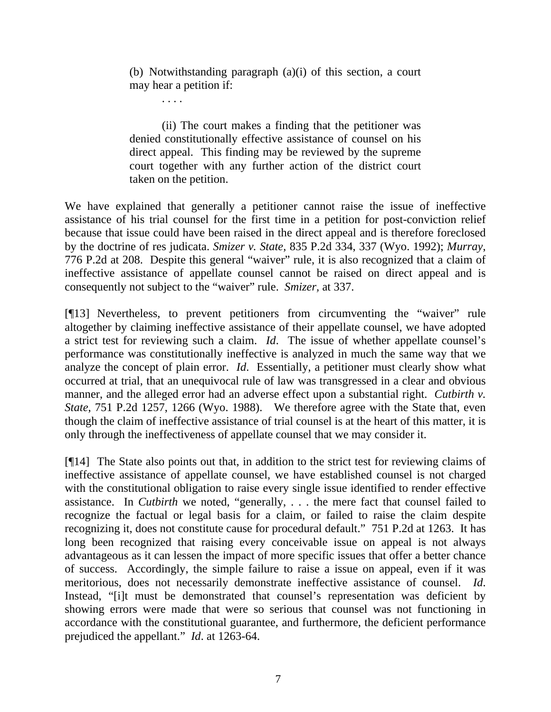(b) Notwithstanding paragraph (a)(i) of this section, a court may hear a petition if:

. . . .

(ii) The court makes a finding that the petitioner was denied constitutionally effective assistance of counsel on his direct appeal. This finding may be reviewed by the supreme court together with any further action of the district court taken on the petition.

We have explained that generally a petitioner cannot raise the issue of ineffective assistance of his trial counsel for the first time in a petition for post-conviction relief because that issue could have been raised in the direct appeal and is therefore foreclosed by the doctrine of res judicata. *Smizer v. State*, 835 P.2d 334, 337 (Wyo. 1992); *Murray*, 776 P.2d at 208. Despite this general "waiver" rule, it is also recognized that a claim of ineffective assistance of appellate counsel cannot be raised on direct appeal and is consequently not subject to the "waiver" rule. *Smizer,* at 337.

[¶13] Nevertheless, to prevent petitioners from circumventing the "waiver" rule altogether by claiming ineffective assistance of their appellate counsel, we have adopted a strict test for reviewing such a claim. *Id*. The issue of whether appellate counsel's performance was constitutionally ineffective is analyzed in much the same way that we analyze the concept of plain error. *Id*. Essentially, a petitioner must clearly show what occurred at trial, that an unequivocal rule of law was transgressed in a clear and obvious manner, and the alleged error had an adverse effect upon a substantial right. *Cutbirth v. State*, 751 P.2d 1257, 1266 (Wyo. 1988). We therefore agree with the State that, even though the claim of ineffective assistance of trial counsel is at the heart of this matter, it is only through the ineffectiveness of appellate counsel that we may consider it.

[¶14] The State also points out that, in addition to the strict test for reviewing claims of ineffective assistance of appellate counsel, we have established counsel is not charged with the constitutional obligation to raise every single issue identified to render effective assistance. In *Cutbirth* we noted, "generally, . . . the mere fact that counsel failed to recognize the factual or legal basis for a claim, or failed to raise the claim despite recognizing it, does not constitute cause for procedural default." 751 P.2d at 1263. It has long been recognized that raising every conceivable issue on appeal is not always advantageous as it can lessen the impact of more specific issues that offer a better chance of success. Accordingly, the simple failure to raise a issue on appeal, even if it was meritorious, does not necessarily demonstrate ineffective assistance of counsel. *Id*. Instead, "[i]t must be demonstrated that counsel's representation was deficient by showing errors were made that were so serious that counsel was not functioning in accordance with the constitutional guarantee, and furthermore, the deficient performance prejudiced the appellant." *Id*. at 1263-64.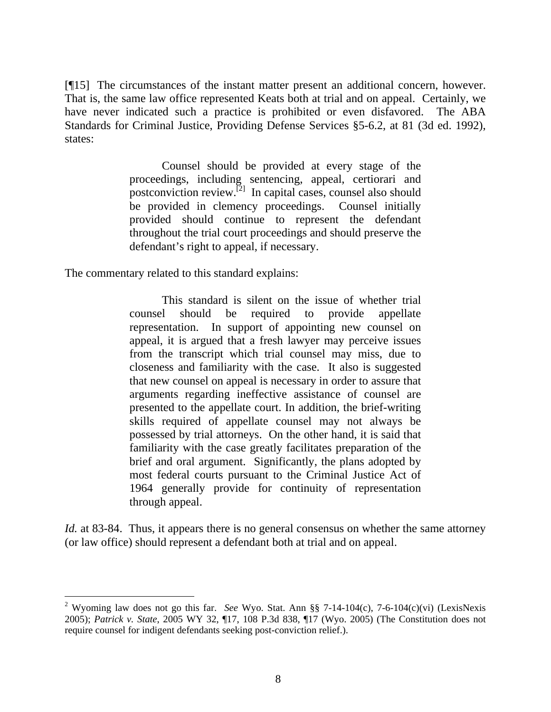[¶15] The circumstances of the instant matter present an additional concern, however. That is, the same law office represented Keats both at trial and on appeal. Certainly, we have never indicated such a practice is prohibited or even disfavored. The ABA Standards for Criminal Justice, Providing Defense Services §5-6.2, at 81 (3d ed. 1992), states:

> Counsel should be provided at every stage of the proceedings, including sentencing, appeal, certiorari and postconviction review.<sup>[2]</sup> In capital cases, counsel also should be provided in clemency proceedings. Counsel initially provided should continue to represent the defendant throughout the trial court proceedings and should preserve the defendant's right to appeal, if necessary.

The commentary related to this standard explains:

l

This standard is silent on the issue of whether trial counsel should be required to provide appellate representation. In support of appointing new counsel on appeal, it is argued that a fresh lawyer may perceive issues from the transcript which trial counsel may miss, due to closeness and familiarity with the case. It also is suggested that new counsel on appeal is necessary in order to assure that arguments regarding ineffective assistance of counsel are presented to the appellate court. In addition, the brief-writing skills required of appellate counsel may not always be possessed by trial attorneys. On the other hand, it is said that familiarity with the case greatly facilitates preparation of the brief and oral argument. Significantly, the plans adopted by most federal courts pursuant to the Criminal Justice Act of 1964 generally provide for continuity of representation through appeal.

*Id.* at 83-84. Thus, it appears there is no general consensus on whether the same attorney (or law office) should represent a defendant both at trial and on appeal.

<sup>2</sup> Wyoming law does not go this far. *See* Wyo. Stat. Ann §§ 7-14-104(c), 7-6-104(c)(vi) (LexisNexis 2005); *Patrick v. State*, 2005 WY 32, ¶17, 108 P.3d 838, ¶17 (Wyo. 2005) (The Constitution does not require counsel for indigent defendants seeking post-conviction relief.).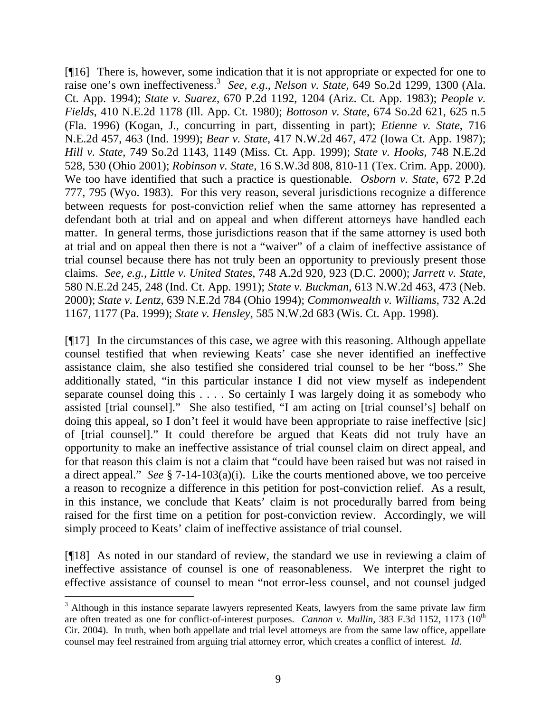[¶16] There is, however, some indication that it is not appropriate or expected for one to raise one's own ineffectiveness.<sup>3</sup> See, e.g., *Nelson v. State*, 649 So.2d 1299, 1300 (Ala. Ct. App. 1994); *State v. Suarez*, 670 P.2d 1192, 1204 (Ariz. Ct. App. 1983); *People v. Fields*, 410 N.E.2d 1178 (Ill. App. Ct. 1980); *Bottoson v. State*, 674 So.2d 621, 625 n.5 (Fla. 1996) (Kogan, J., concurring in part, dissenting in part); *Etienne v. State*, 716 N.E.2d 457, 463 (Ind. 1999); *Bear v. State*, 417 N.W.2d 467, 472 (Iowa Ct. App. 1987); *Hill v. State*, 749 So.2d 1143, 1149 (Miss. Ct. App. 1999); *State v. Hooks*, 748 N.E.2d 528, 530 (Ohio 2001); *Robinson v. State*, 16 S.W.3d 808, 810-11 (Tex. Crim. App. 2000). We too have identified that such a practice is questionable. *Osborn v. State*, 672 P.2d 777, 795 (Wyo. 1983). For this very reason, several jurisdictions recognize a difference between requests for post-conviction relief when the same attorney has represented a defendant both at trial and on appeal and when different attorneys have handled each matter. In general terms, those jurisdictions reason that if the same attorney is used both at trial and on appeal then there is not a "waiver" of a claim of ineffective assistance of trial counsel because there has not truly been an opportunity to previously present those claims. *See, e.g., Little v. United States*, 748 A.2d 920, 923 (D.C. 2000); *Jarrett v. State*, 580 N.E.2d 245, 248 (Ind. Ct. App. 1991); *State v. Buckman*, 613 N.W.2d 463, 473 (Neb. 2000); *State v. Lentz*, 639 N.E.2d 784 (Ohio 1994); *Commonwealth v. Williams*, 732 A.2d 1167, 1177 (Pa. 1999); *State v. Hensley*, 585 N.W.2d 683 (Wis. Ct. App. 1998).

[¶17] In the circumstances of this case, we agree with this reasoning. Although appellate counsel testified that when reviewing Keats' case she never identified an ineffective assistance claim, she also testified she considered trial counsel to be her "boss." She additionally stated, "in this particular instance I did not view myself as independent separate counsel doing this . . . . So certainly I was largely doing it as somebody who assisted [trial counsel]." She also testified, "I am acting on [trial counsel's] behalf on doing this appeal, so I don't feel it would have been appropriate to raise ineffective [sic] of [trial counsel]." It could therefore be argued that Keats did not truly have an opportunity to make an ineffective assistance of trial counsel claim on direct appeal, and for that reason this claim is not a claim that "could have been raised but was not raised in a direct appeal." *See* § 7-14-103(a)(i). Like the courts mentioned above, we too perceive a reason to recognize a difference in this petition for post-conviction relief. As a result, in this instance, we conclude that Keats' claim is not procedurally barred from being raised for the first time on a petition for post-conviction review. Accordingly, we will simply proceed to Keats' claim of ineffective assistance of trial counsel.

[¶18] As noted in our standard of review, the standard we use in reviewing a claim of ineffective assistance of counsel is one of reasonableness. We interpret the right to effective assistance of counsel to mean "not error-less counsel, and not counsel judged

l

<sup>&</sup>lt;sup>3</sup> Although in this instance separate lawyers represented Keats, lawyers from the same private law firm are often treated as one for conflict-of-interest purposes. *Cannon v. Mullin*, 383 F.3d 1152, 1173 (10<sup>th</sup>) Cir. 2004). In truth, when both appellate and trial level attorneys are from the same law office, appellate counsel may feel restrained from arguing trial attorney error, which creates a conflict of interest. *Id*.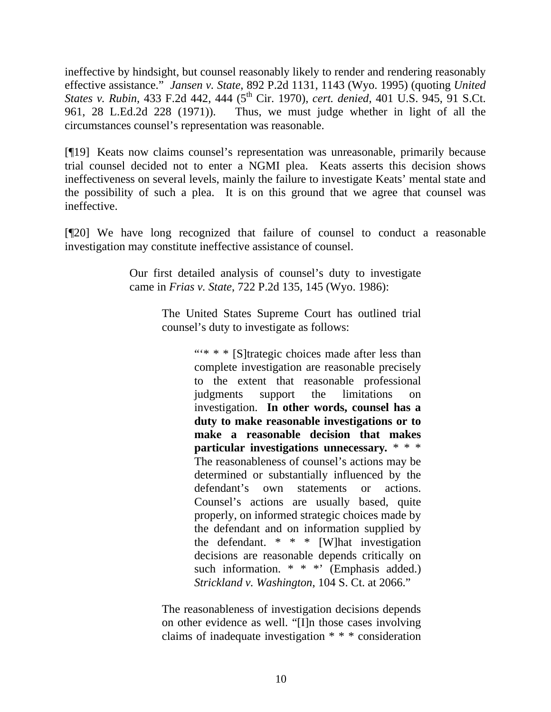ineffective by hindsight, but counsel reasonably likely to render and rendering reasonably effective assistance." *Jansen v. State*, 892 P.2d 1131, 1143 (Wyo. 1995) (quoting *United States v. Rubin*, 433 F.2d 442, 444 (5th Cir. 1970), *cert. denied*, 401 U.S. 945, 91 S.Ct. 961, 28 L.Ed.2d 228 (1971)). Thus, we must judge whether in light of all the circumstances counsel's representation was reasonable.

[¶19] Keats now claims counsel's representation was unreasonable, primarily because trial counsel decided not to enter a NGMI plea. Keats asserts this decision shows ineffectiveness on several levels, mainly the failure to investigate Keats' mental state and the possibility of such a plea. It is on this ground that we agree that counsel was ineffective.

[¶20] We have long recognized that failure of counsel to conduct a reasonable investigation may constitute ineffective assistance of counsel.

> Our first detailed analysis of counsel's duty to investigate came in *Frias v. State*, 722 P.2d 135, 145 (Wyo. 1986):

> > The United States Supreme Court has outlined trial counsel's duty to investigate as follows:

> > > ""\*  $*$  " [S]trategic choices made after less than complete investigation are reasonable precisely to the extent that reasonable professional judgments support the limitations on investigation. **In other words, counsel has a duty to make reasonable investigations or to make a reasonable decision that makes particular investigations unnecessary***.* \* \* \* The reasonableness of counsel's actions may be determined or substantially influenced by the defendant's own statements or actions. Counsel's actions are usually based, quite properly, on informed strategic choices made by the defendant and on information supplied by the defendant.  $* * * [W]$  hat investigation decisions are reasonable depends critically on such information.  $* * *$  (Emphasis added.) *Strickland v. Washington*, 104 S. Ct. at 2066."

The reasonableness of investigation decisions depends on other evidence as well. "[I]n those cases involving claims of inadequate investigation \* \* \* consideration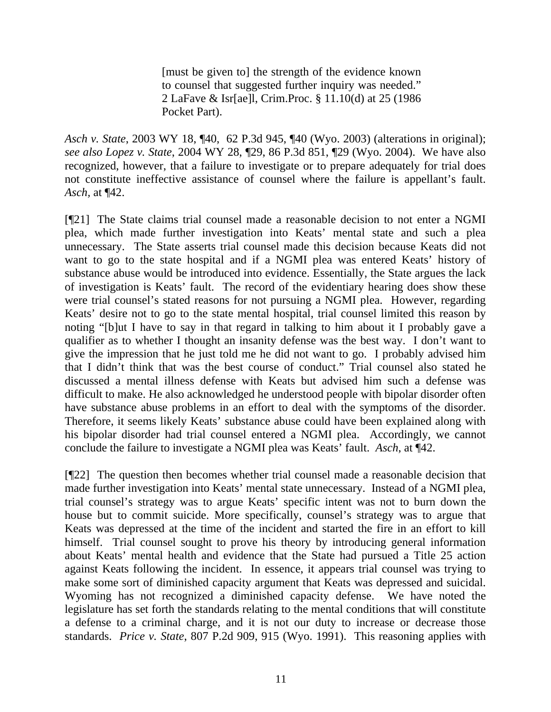[must be given to] the strength of the evidence known to counsel that suggested further inquiry was needed." 2 LaFave & Isr[ae]l, Crim.Proc. § 11.10(d) at 25 (1986 Pocket Part).

*Asch v. State*, 2003 WY 18, ¶40, 62 P.3d 945, ¶40 (Wyo. 2003) (alterations in original); *see also Lopez v. State*, 2004 WY 28, ¶29, 86 P.3d 851, ¶29 (Wyo. 2004). We have also recognized, however, that a failure to investigate or to prepare adequately for trial does not constitute ineffective assistance of counsel where the failure is appellant's fault. *Asch,* at ¶42.

[¶21] The State claims trial counsel made a reasonable decision to not enter a NGMI plea, which made further investigation into Keats' mental state and such a plea unnecessary. The State asserts trial counsel made this decision because Keats did not want to go to the state hospital and if a NGMI plea was entered Keats' history of substance abuse would be introduced into evidence. Essentially, the State argues the lack of investigation is Keats' fault. The record of the evidentiary hearing does show these were trial counsel's stated reasons for not pursuing a NGMI plea. However, regarding Keats' desire not to go to the state mental hospital, trial counsel limited this reason by noting "[b]ut I have to say in that regard in talking to him about it I probably gave a qualifier as to whether I thought an insanity defense was the best way. I don't want to give the impression that he just told me he did not want to go. I probably advised him that I didn't think that was the best course of conduct." Trial counsel also stated he discussed a mental illness defense with Keats but advised him such a defense was difficult to make. He also acknowledged he understood people with bipolar disorder often have substance abuse problems in an effort to deal with the symptoms of the disorder. Therefore, it seems likely Keats' substance abuse could have been explained along with his bipolar disorder had trial counsel entered a NGMI plea. Accordingly, we cannot conclude the failure to investigate a NGMI plea was Keats' fault. *Asch*, at ¶42.

[¶22] The question then becomes whether trial counsel made a reasonable decision that made further investigation into Keats' mental state unnecessary. Instead of a NGMI plea, trial counsel's strategy was to argue Keats' specific intent was not to burn down the house but to commit suicide. More specifically, counsel's strategy was to argue that Keats was depressed at the time of the incident and started the fire in an effort to kill himself. Trial counsel sought to prove his theory by introducing general information about Keats' mental health and evidence that the State had pursued a Title 25 action against Keats following the incident. In essence, it appears trial counsel was trying to make some sort of diminished capacity argument that Keats was depressed and suicidal. Wyoming has not recognized a diminished capacity defense. We have noted the legislature has set forth the standards relating to the mental conditions that will constitute a defense to a criminal charge, and it is not our duty to increase or decrease those standards. *Price v. State*, 807 P.2d 909, 915 (Wyo. 1991). This reasoning applies with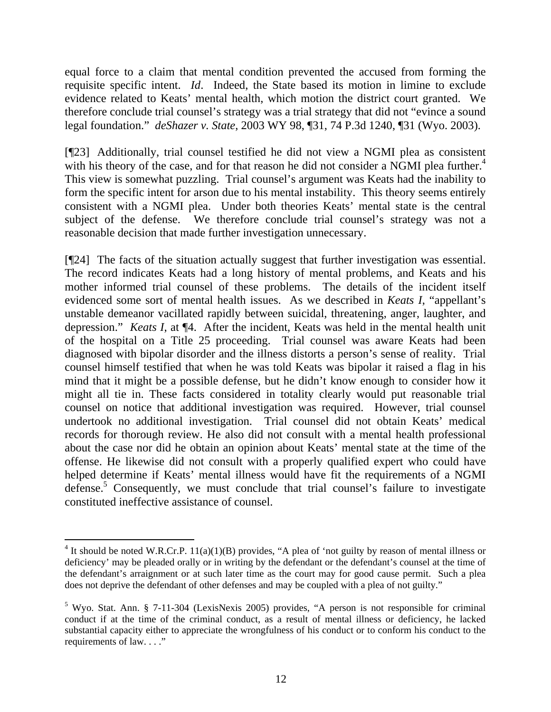equal force to a claim that mental condition prevented the accused from forming the requisite specific intent. *Id*. Indeed, the State based its motion in limine to exclude evidence related to Keats' mental health, which motion the district court granted. We therefore conclude trial counsel's strategy was a trial strategy that did not "evince a sound legal foundation." *deShazer v. State*, 2003 WY 98, ¶31, 74 P.3d 1240, ¶31 (Wyo. 2003).

[¶23] Additionally, trial counsel testified he did not view a NGMI plea as consistent with his theory of the case, and for that reason he did not consider a NGMI plea further.<sup>4</sup> This view is somewhat puzzling. Trial counsel's argument was Keats had the inability to form the specific intent for arson due to his mental instability. This theory seems entirely consistent with a NGMI plea. Under both theories Keats' mental state is the central subject of the defense. We therefore conclude trial counsel's strategy was not a reasonable decision that made further investigation unnecessary.

[¶24] The facts of the situation actually suggest that further investigation was essential. The record indicates Keats had a long history of mental problems, and Keats and his mother informed trial counsel of these problems. The details of the incident itself evidenced some sort of mental health issues. As we described in *Keats I*, "appellant's unstable demeanor vacillated rapidly between suicidal, threatening, anger, laughter, and depression." *Keats I*, at ¶4. After the incident, Keats was held in the mental health unit of the hospital on a Title 25 proceeding. Trial counsel was aware Keats had been diagnosed with bipolar disorder and the illness distorts a person's sense of reality. Trial counsel himself testified that when he was told Keats was bipolar it raised a flag in his mind that it might be a possible defense, but he didn't know enough to consider how it might all tie in. These facts considered in totality clearly would put reasonable trial counsel on notice that additional investigation was required. However, trial counsel undertook no additional investigation. Trial counsel did not obtain Keats' medical records for thorough review. He also did not consult with a mental health professional about the case nor did he obtain an opinion about Keats' mental state at the time of the offense. He likewise did not consult with a properly qualified expert who could have helped determine if Keats' mental illness would have fit the requirements of a NGMI defense.<sup>5</sup> Consequently, we must conclude that trial counsel's failure to investigate constituted ineffective assistance of counsel.

<sup>&</sup>lt;sup>4</sup> It should be noted W.R.Cr.P.  $11(a)(1)(B)$  provides, "A plea of 'not guilty by reason of mental illness or deficiency' may be pleaded orally or in writing by the defendant or the defendant's counsel at the time of the defendant's arraignment or at such later time as the court may for good cause permit. Such a plea does not deprive the defendant of other defenses and may be coupled with a plea of not guilty."

<sup>&</sup>lt;sup>5</sup> Wyo. Stat. Ann. § 7-11-304 (LexisNexis 2005) provides, "A person is not responsible for criminal conduct if at the time of the criminal conduct, as a result of mental illness or deficiency, he lacked substantial capacity either to appreciate the wrongfulness of his conduct or to conform his conduct to the requirements of law. . . ."